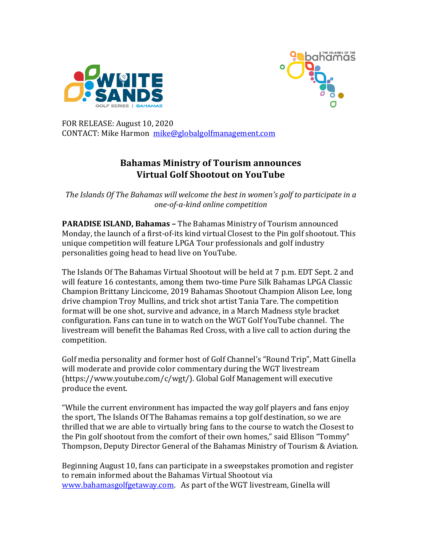



FOR RELEASE: August 10, 2020 CONTACT: Mike Harmon mike@globalgolfmanagement.com

# **Bahamas Ministry of Tourism announces Virtual Golf Shootout on YouTube**

The Islands Of The Bahamas will welcome the best in women's golf to participate in a *one-of-a-kind online competition*

**PARADISE ISLAND, Bahamas - The Bahamas Ministry of Tourism announced** Monday, the launch of a first-of-its kind virtual Closest to the Pin golf shootout. This unique competition will feature LPGA Tour professionals and golf industry personalities going head to head live on YouTube.

The Islands Of The Bahamas Virtual Shootout will be held at 7 p.m. EDT Sept. 2 and will feature 16 contestants, among them two-time Pure Silk Bahamas LPGA Classic Champion Brittany Lincicome, 2019 Bahamas Shootout Champion Alison Lee, long drive champion Troy Mullins, and trick shot artist Tania Tare. The competition format will be one shot, survive and advance, in a March Madness style bracket configuration. Fans can tune in to watch on the WGT Golf YouTube channel. The livestream will benefit the Bahamas Red Cross, with a live call to action during the competition.

Golf media personality and former host of Golf Channel's "Round Trip", Matt Ginella will moderate and provide color commentary during the WGT livestream  $(\text{https://www.youtube.com/c/wgt/}). \text{Global Golf Management will executive}$ produce the event.

"While the current environment has impacted the way golf players and fans enjoy the sport, The Islands Of The Bahamas remains a top golf destination, so we are thrilled that we are able to virtually bring fans to the course to watch the Closest to the Pin golf shootout from the comfort of their own homes," said Ellison "Tommy" Thompson, Deputy Director General of the Bahamas Ministry of Tourism & Aviation.

Beginning August 10, fans can participate in a sweepstakes promotion and register to remain informed about the Bahamas Virtual Shootout via www.bahamasgolfgetaway.com. As part of the WGT livestream, Ginella will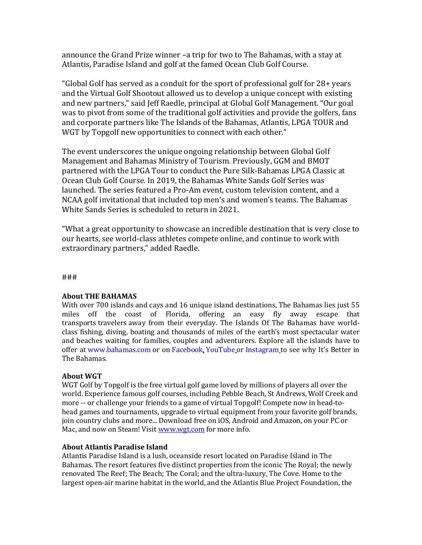announce the Grand Prize winner -a trip for two to The Bahamas, with a stay at Atlantis, Paradise Island and golf at the famed Ocean Club Golf Course.

"Global Golf has served as a conduit for the sport of professional golf for  $28+$  years and the Virtual Golf Shootout allowed us to develop a unique concept with existing and new partners," said Jeff Raedle, principal at Global Golf Management. "Our goal was to pivot from some of the traditional golf activities and provide the golfers, fans and corporate partners like The Islands of the Bahamas, Atlantis, LPGA TOUR and WGT by Topgolf new opportunities to connect with each other."

The event underscores the unique ongoing relationship between Global Golf Management and Bahamas Ministry of Tourism. Previously, GGM and BMOT partnered with the LPGA Tour to conduct the Pure Silk-Bahamas LPGA Classic at Ocean Club Golf Course. In 2019, the Bahamas White Sands Golf Series was launched. The series featured a Pro-Am event, custom television content, and a NCAA golf invitational that included top men's and women's teams. The Bahamas White Sands Series is scheduled to return in 2021.

"What a great opportunity to showcase an incredible destination that is very close to our hearts, see world-class athletes compete online, and continue to work with extraordinary partners," added Raedle.

###

## **About THE BAHAMAS**

With over 700 islands and cays and 16 unique island destinations, The Bahamas lies just 55 miles off the coast of Florida, offering an easy fly away escape that transports travelers away from their everyday. The Islands Of The Bahamas have worldclass fishing, diving, boating and thousands of miles of the earth's most spectacular water and beaches waiting for families, couples and adventurers. Explore all the islands have to offer at www.bahamas.com or on Facebook, YouTube or Instagram to see why It's Better in The Bahamas*.* 

## **About WGT**

WGT Golf by Topgolf is the free virtual golf game loved by millions of players all over the world. Experience famous golf courses, including Pebble Beach, St Andrews, Wolf Creek and more -- or challenge your friends to a game of virtual Topgolf! Compete now in head-tohead games and tournaments, upgrade to virtual equipment from your favorite golf brands, join country clubs and more... Download free on iOS, Android and Amazon, on your PC or Mac, and now on Steam! Visit www.wgt.com for more info.

## **About Atlantis Paradise Island**

Atlantis Paradise Island is a lush, oceanside resort located on Paradise Island in The Bahamas. The resort features five distinct properties from the iconic The Royal; the newly renovated The Reef; The Beach; The Coral; and the ultra-luxury, The Cove. Home to the largest open-air marine habitat in the world, and the Atlantis Blue Project Foundation, the